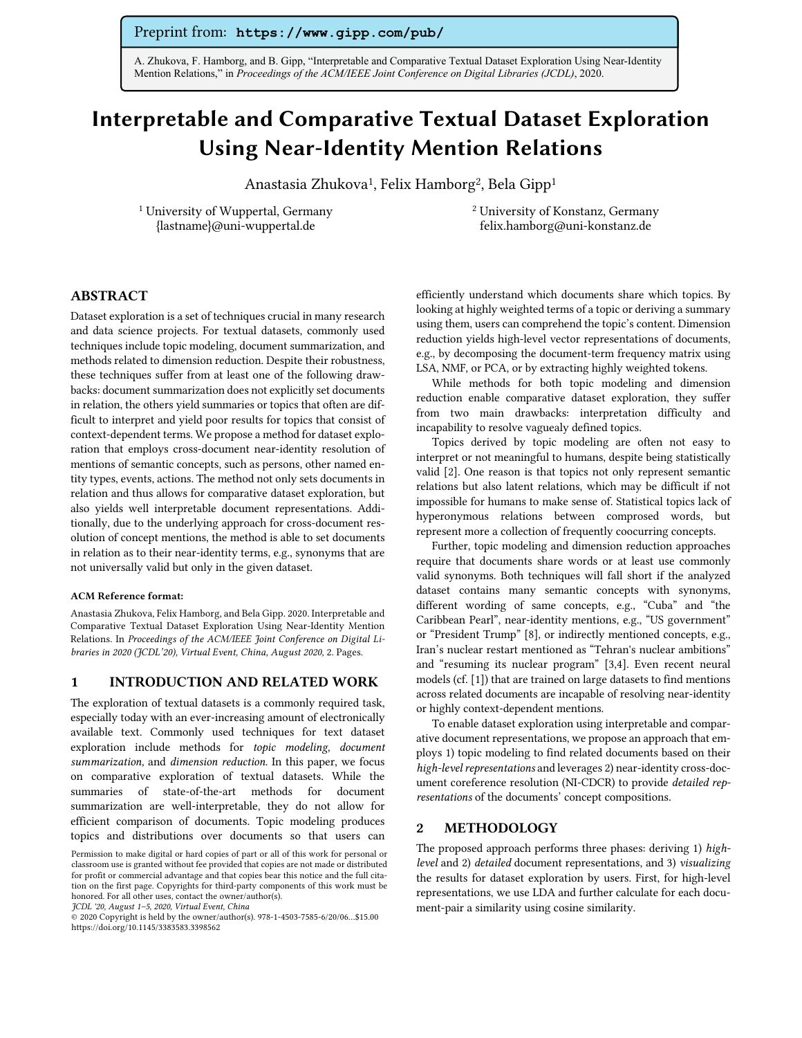## Preprint from: **https://www.gipp.com/pub/**

A. Zhukova, F. Hamborg, and B. Gipp, "Interpretable and Comparative Textual Dataset Exploration Using Near-Identity Mention Relations," in *Proceedings of the ACM/IEEE Joint Conference on Digital Libraries (JCDL)*, 2020.

# Interpretable and Comparative Textual Dataset Exploration Using Near-Identity Mention Relations

Anastasia Zhukova<sup>1</sup>, Felix Hamborg<sup>2</sup>, Bela Gipp<sup>1</sup>

<sup>1</sup> University of Wuppertal, Germany {lastname}@uni-wuppertal.de

<sup>2</sup> University of Konstanz, Germany felix.hamborg@uni-konstanz.de

## ABSTRACT

Dataset exploration is a set of techniques crucial in many research and data science projects. For textual datasets, commonly used techniques include topic modeling, document summarization, and methods related to dimension reduction. Despite their robustness, these techniques suffer from at least one of the following drawbacks: document summarization does not explicitly set documents in relation, the others yield summaries or topics that often are difficult to interpret and yield poor results for topics that consist of context-dependent terms. We propose a method for dataset exploration that employs cross-document near-identity resolution of mentions of semantic concepts, such as persons, other named entity types, events, actions. The method not only sets documents in relation and thus allows for comparative dataset exploration, but also yields well interpretable document representations. Additionally, due to the underlying approach for cross-document resolution of concept mentions, the method is able to set documents in relation as to their near-identity terms, e.g., synonyms that are not universally valid but only in the given dataset.

#### ACM Reference format:

Anastasia Zhukova, Felix Hamborg, and Bela Gipp. 2020. Interpretable and Comparative Textual Dataset Exploration Using Near-Identity Mention Relations. In *Proceedings of the ACM/IEEE Joint Conference on Digital Libraries in 2020 (JCDL'20), Virtual Event, China, August 2020,* 2. Pages.

#### 1 INTRODUCTION AND RELATED WORK

The exploration of textual datasets is a commonly required task, especially today with an ever-increasing amount of electronically available text. Commonly used techniques for text dataset exploration include methods for *topic modeling, document summarization,* and *dimension reduction.* In this paper, we focus on comparative exploration of textual datasets. While the summaries of state-of-the-art methods for document summarization are well-interpretable, they do not allow for efficient comparison of documents. Topic modeling produces topics and distributions over documents so that users can

efficiently understand which documents share which topics. By looking at highly weighted terms of a topic or deriving a summary using them, users can comprehend the topic's content. Dimension reduction yields high-level vector representations of documents, e.g., by decomposing the document-term frequency matrix using LSA, NMF, or PCA, or by extracting highly weighted tokens.

While methods for both topic modeling and dimension reduction enable comparative dataset exploration, they suffer from two main drawbacks: interpretation difficulty and incapability to resolve vaguealy defined topics.

Topics derived by topic modeling are often not easy to interpret or not meaningful to humans, despite being statistically valid [2]. One reason is that topics not only represent semantic relations but also latent relations, which may be difficult if not impossible for humans to make sense of. Statistical topics lack of hyperonymous relations between comprosed words, but represent more a collection of frequently coocurring concepts.

Further, topic modeling and dimension reduction approaches require that documents share words or at least use commonly valid synonyms. Both techniques will fall short if the analyzed dataset contains many semantic concepts with synonyms, different wording of same concepts, e.g., "Cuba" and "the Caribbean Pearl", near-identity mentions, e.g., "US government" or "President Trump" [8], or indirectly mentioned concepts, e.g., Iran's nuclear restart mentioned as "Tehran's nuclear ambitions" and "resuming its nuclear program" [3,4]. Even recent neural models (cf. [1]) that are trained on large datasets to find mentions across related documents are incapable of resolving near-identity or highly context-dependent mentions.

To enable dataset exploration using interpretable and comparative document representations, we propose an approach that employs 1) topic modeling to find related documents based on their *high-level representations* and leverages 2) near-identity cross-document coreference resolution (NI-CDCR) to provide *detailed representations* of the documents' concept compositions.

### 2 METHODOLOGY

The proposed approach performs three phases: deriving 1) *highlevel* and 2) *detailed* document representations, and 3) *visualizing* the results for dataset exploration by users. First, for high-level representations, we use LDA and further calculate for each document-pair a similarity using cosine similarity.

Permission to make digital or hard copies of part or all of this work for personal or classroom use is granted without fee provided that copies are not made or distributed for profit or commercial advantage and that copies bear this notice and the full citation on the first page. Copyrights for third-party components of this work must be honored. For all other uses, contact the owner/author(s).

*JCDL '20, August 1–5, 2020, Virtual Event, China*

<sup>© 2020</sup> Copyright is held by the owner/author(s). 978-1-4503-7585-6/20/06…\$15.00 https://doi.org/10.1145/3383583.3398562